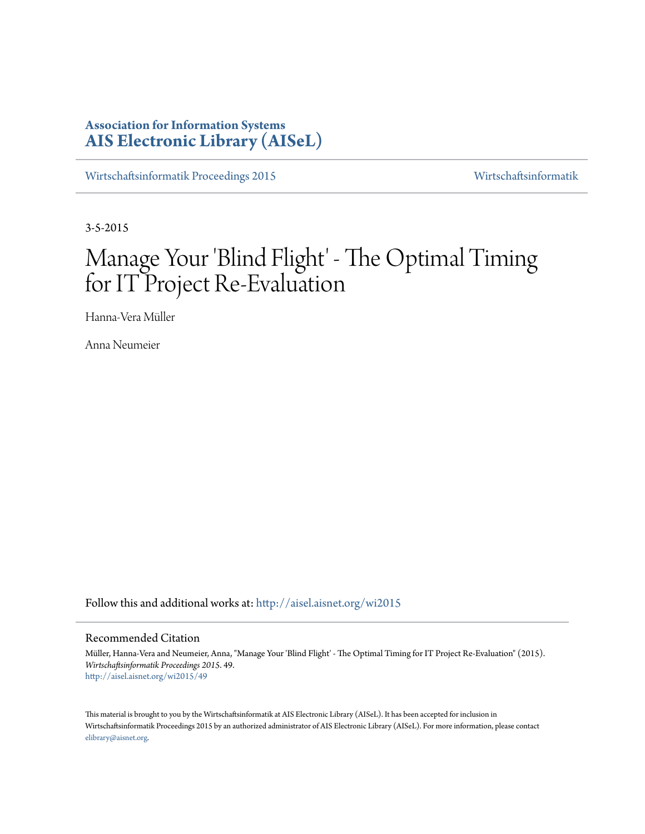# **Association for Information Systems [AIS Electronic Library \(AISeL\)](http://aisel.aisnet.org?utm_source=aisel.aisnet.org%2Fwi2015%2F49&utm_medium=PDF&utm_campaign=PDFCoverPages)**

[Wirtschaftsinformatik Proceedings 2015](http://aisel.aisnet.org/wi2015?utm_source=aisel.aisnet.org%2Fwi2015%2F49&utm_medium=PDF&utm_campaign=PDFCoverPages) [Wirtschaftsinformatik](http://aisel.aisnet.org/wi?utm_source=aisel.aisnet.org%2Fwi2015%2F49&utm_medium=PDF&utm_campaign=PDFCoverPages)

3-5-2015

# Manage Your 'Blind Flight' - The Optimal Timing for IT Project Re-Evaluation

Hanna-Vera Müller

Anna Neumeier

Follow this and additional works at: [http://aisel.aisnet.org/wi2015](http://aisel.aisnet.org/wi2015?utm_source=aisel.aisnet.org%2Fwi2015%2F49&utm_medium=PDF&utm_campaign=PDFCoverPages)

### Recommended Citation

Müller, Hanna-Vera and Neumeier, Anna, "Manage Your 'Blind Flight' - The Optimal Timing for IT Project Re-Evaluation" (2015). *Wirtschaftsinformatik Proceedings 2015*. 49. [http://aisel.aisnet.org/wi2015/49](http://aisel.aisnet.org/wi2015/49?utm_source=aisel.aisnet.org%2Fwi2015%2F49&utm_medium=PDF&utm_campaign=PDFCoverPages)

This material is brought to you by the Wirtschaftsinformatik at AIS Electronic Library (AISeL). It has been accepted for inclusion in Wirtschaftsinformatik Proceedings 2015 by an authorized administrator of AIS Electronic Library (AISeL). For more information, please contact [elibrary@aisnet.org.](mailto:elibrary@aisnet.org%3E)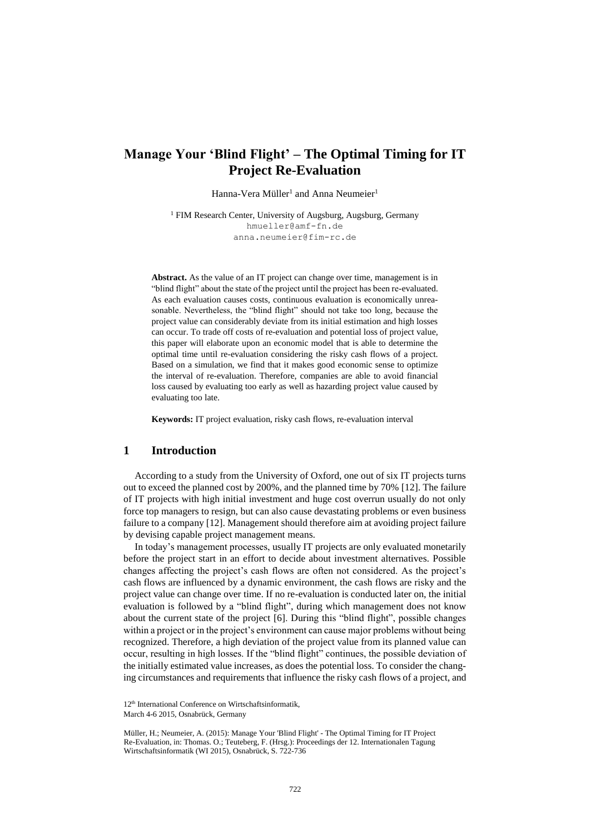# **Manage Your 'Blind Flight' – The Optimal Timing for IT Project Re-Evaluation**

Hanna-Vera Müller<sup>1</sup> and Anna Neumeier<sup>1</sup>

<sup>1</sup> FIM Research Center, University of Augsburg, Augsburg, Germany [hmueller@amf-fn.de](mailto:hmueller@amf-fn.de) anna.neumeier@fim-rc.de

**Abstract.** As the value of an IT project can change over time, management is in "blind flight" about the state of the project until the project has been re-evaluated. As each evaluation causes costs, continuous evaluation is economically unreasonable. Nevertheless, the "blind flight" should not take too long, because the project value can considerably deviate from its initial estimation and high losses can occur. To trade off costs of re-evaluation and potential loss of project value, this paper will elaborate upon an economic model that is able to determine the optimal time until re-evaluation considering the risky cash flows of a project. Based on a simulation, we find that it makes good economic sense to optimize the interval of re-evaluation. Therefore, companies are able to avoid financial loss caused by evaluating too early as well as hazarding project value caused by evaluating too late.

**Keywords:** IT project evaluation, risky cash flows, re-evaluation interval

# **1 Introduction**

According to a study from the University of Oxford, one out of six IT projects turns out to exceed the planned cost by 200%, and the planned time by 70% [12]. The failure of IT projects with high initial investment and huge cost overrun usually do not only force top managers to resign, but can also cause devastating problems or even business failure to a company [12]. Management should therefore aim at avoiding project failure by devising capable project management means.

In today's management processes, usually IT projects are only evaluated monetarily before the project start in an effort to decide about investment alternatives. Possible changes affecting the project's cash flows are often not considered. As the project's cash flows are influenced by a dynamic environment, the cash flows are risky and the project value can change over time. If no re-evaluation is conducted later on, the initial evaluation is followed by a "blind flight", during which management does not know about the current state of the project [6]. During this "blind flight", possible changes within a project or in the project's environment can cause major problems without being recognized. Therefore, a high deviation of the project value from its planned value can occur, resulting in high losses. If the "blind flight" continues, the possible deviation of the initially estimated value increases, as does the potential loss. To consider the changing circumstances and requirements that influence the risky cash flows of a project, and

<sup>12&</sup>lt;sup>th</sup> International Conference on Wirtschaftsinformatik,

March 4-6 2015, Osnabrück, Germany

Müller, H.; Neumeier, A. (2015): Manage Your 'Blind Flight' - The Optimal Timing for IT Project Re-Evaluation, in: Thomas. O.; Teuteberg, F. (Hrsg.): Proceedings der 12. Internationalen Tagung Wirtschaftsinformatik (WI 2015), Osnabrück, S. 722-736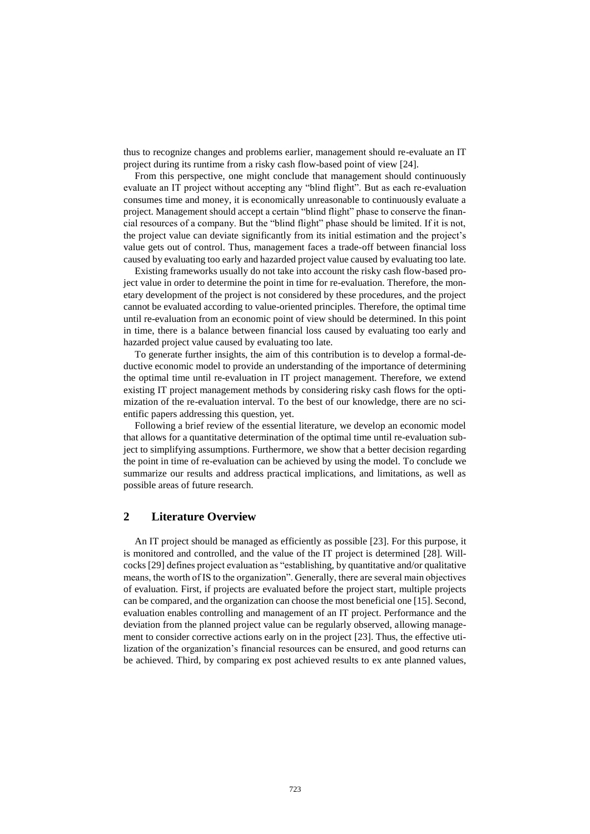thus to recognize changes and problems earlier, management should re-evaluate an IT project during its runtime from a risky cash flow-based point of view [24].

From this perspective, one might conclude that management should continuously evaluate an IT project without accepting any "blind flight". But as each re-evaluation consumes time and money, it is economically unreasonable to continuously evaluate a project. Management should accept a certain "blind flight" phase to conserve the financial resources of a company. But the "blind flight" phase should be limited. If it is not, the project value can deviate significantly from its initial estimation and the project's value gets out of control. Thus, management faces a trade-off between financial loss caused by evaluating too early and hazarded project value caused by evaluating too late.

Existing frameworks usually do not take into account the risky cash flow-based project value in order to determine the point in time for re-evaluation. Therefore, the monetary development of the project is not considered by these procedures, and the project cannot be evaluated according to value-oriented principles. Therefore, the optimal time until re-evaluation from an economic point of view should be determined. In this point in time, there is a balance between financial loss caused by evaluating too early and hazarded project value caused by evaluating too late.

To generate further insights, the aim of this contribution is to develop a formal-deductive economic model to provide an understanding of the importance of determining the optimal time until re-evaluation in IT project management. Therefore, we extend existing IT project management methods by considering risky cash flows for the optimization of the re-evaluation interval. To the best of our knowledge, there are no scientific papers addressing this question, yet.

Following a brief review of the essential literature, we develop an economic model that allows for a quantitative determination of the optimal time until re-evaluation subject to simplifying assumptions. Furthermore, we show that a better decision regarding the point in time of re-evaluation can be achieved by using the model. To conclude we summarize our results and address practical implications, and limitations, as well as possible areas of future research.

# **2 Literature Overview**

An IT project should be managed as efficiently as possible [23]. For this purpose, it is monitored and controlled, and the value of the IT project is determined [28]. Willcocks [29] defines project evaluation as "establishing, by quantitative and/or qualitative means, the worth of IS to the organization". Generally, there are several main objectives of evaluation. First, if projects are evaluated before the project start, multiple projects can be compared, and the organization can choose the most beneficial one [15]. Second, evaluation enables controlling and management of an IT project. Performance and the deviation from the planned project value can be regularly observed, allowing management to consider corrective actions early on in the project [23]. Thus, the effective utilization of the organization's financial resources can be ensured, and good returns can be achieved. Third, by comparing ex post achieved results to ex ante planned values,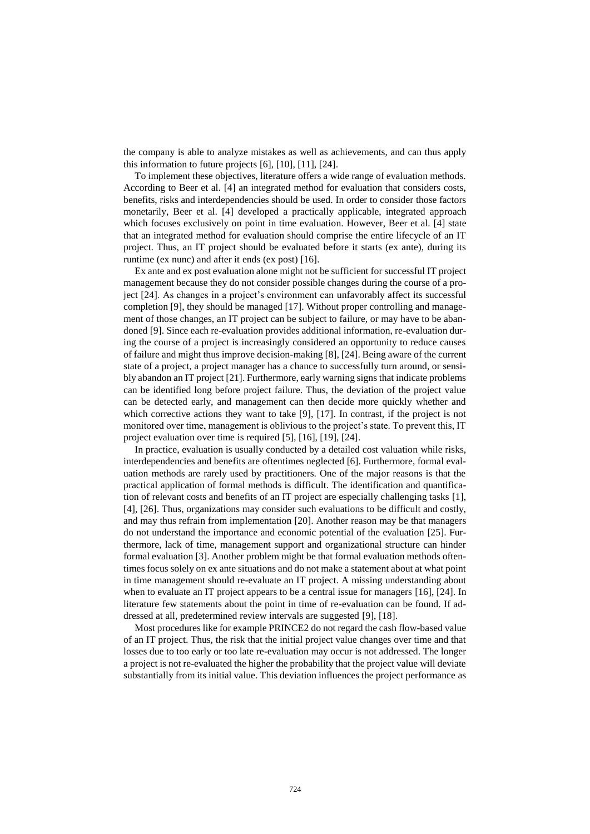the company is able to analyze mistakes as well as achievements, and can thus apply this information to future projects [6], [10], [11], [24].

To implement these objectives, literature offers a wide range of evaluation methods. According to Beer et al. [4] an integrated method for evaluation that considers costs, benefits, risks and interdependencies should be used. In order to consider those factors monetarily, Beer et al. [4] developed a practically applicable, integrated approach which focuses exclusively on point in time evaluation. However, Beer et al. [4] state that an integrated method for evaluation should comprise the entire lifecycle of an IT project. Thus, an IT project should be evaluated before it starts (ex ante), during its runtime (ex nunc) and after it ends (ex post) [16].

Ex ante and ex post evaluation alone might not be sufficient for successful IT project management because they do not consider possible changes during the course of a project [24]. As changes in a project's environment can unfavorably affect its successful completion [9], they should be managed [17]. Without proper controlling and management of those changes, an IT project can be subject to failure, or may have to be abandoned [9]. Since each re-evaluation provides additional information, re-evaluation during the course of a project is increasingly considered an opportunity to reduce causes of failure and might thus improve decision-making [8], [24]. Being aware of the current state of a project, a project manager has a chance to successfully turn around, or sensibly abandon an IT project [21]. Furthermore, early warning signs that indicate problems can be identified long before project failure. Thus, the deviation of the project value can be detected early, and management can then decide more quickly whether and which corrective actions they want to take [9], [17]. In contrast, if the project is not monitored over time, management is oblivious to the project's state. To prevent this, IT project evaluation over time is required [5], [16], [19], [24].

In practice, evaluation is usually conducted by a detailed cost valuation while risks, interdependencies and benefits are oftentimes neglected [6]. Furthermore, formal evaluation methods are rarely used by practitioners. One of the major reasons is that the practical application of formal methods is difficult. The identification and quantification of relevant costs and benefits of an IT project are especially challenging tasks [1], [4], [26]. Thus, organizations may consider such evaluations to be difficult and costly, and may thus refrain from implementation [20]. Another reason may be that managers do not understand the importance and economic potential of the evaluation [25]. Furthermore, lack of time, management support and organizational structure can hinder formal evaluation [3]. Another problem might be that formal evaluation methods oftentimes focus solely on ex ante situations and do not make a statement about at what point in time management should re-evaluate an IT project. A missing understanding about when to evaluate an IT project appears to be a central issue for managers [16], [24]. In literature few statements about the point in time of re-evaluation can be found. If addressed at all, predetermined review intervals are suggested [9], [18].

Most procedures like for example PRINCE2 do not regard the cash flow-based value of an IT project. Thus, the risk that the initial project value changes over time and that losses due to too early or too late re-evaluation may occur is not addressed. The longer a project is not re-evaluated the higher the probability that the project value will deviate substantially from its initial value. This deviation influences the project performance as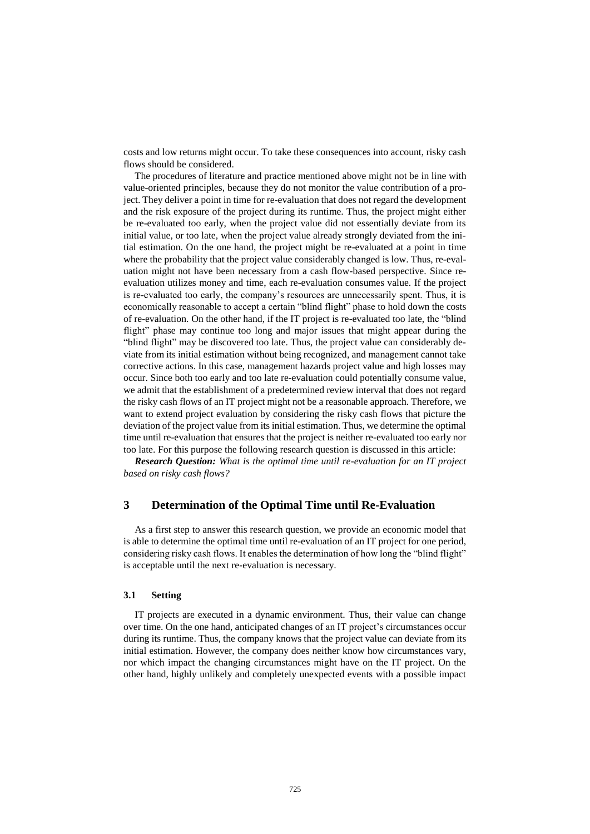costs and low returns might occur. To take these consequences into account, risky cash flows should be considered.

The procedures of literature and practice mentioned above might not be in line with value-oriented principles, because they do not monitor the value contribution of a project. They deliver a point in time for re-evaluation that does not regard the development and the risk exposure of the project during its runtime. Thus, the project might either be re-evaluated too early, when the project value did not essentially deviate from its initial value, or too late, when the project value already strongly deviated from the initial estimation. On the one hand, the project might be re-evaluated at a point in time where the probability that the project value considerably changed is low. Thus, re-evaluation might not have been necessary from a cash flow-based perspective. Since reevaluation utilizes money and time, each re-evaluation consumes value. If the project is re-evaluated too early, the company's resources are unnecessarily spent. Thus, it is economically reasonable to accept a certain "blind flight" phase to hold down the costs of re-evaluation. On the other hand, if the IT project is re-evaluated too late, the "blind flight" phase may continue too long and major issues that might appear during the "blind flight" may be discovered too late. Thus, the project value can considerably deviate from its initial estimation without being recognized, and management cannot take corrective actions. In this case, management hazards project value and high losses may occur. Since both too early and too late re-evaluation could potentially consume value, we admit that the establishment of a predetermined review interval that does not regard the risky cash flows of an IT project might not be a reasonable approach. Therefore, we want to extend project evaluation by considering the risky cash flows that picture the deviation of the project value from its initial estimation. Thus, we determine the optimal time until re-evaluation that ensures that the project is neither re-evaluated too early nor too late. For this purpose the following research question is discussed in this article:

*Research Question: What is the optimal time until re-evaluation for an IT project based on risky cash flows?*

## **3 Determination of the Optimal Time until Re-Evaluation**

As a first step to answer this research question, we provide an economic model that is able to determine the optimal time until re-evaluation of an IT project for one period, considering risky cash flows. It enables the determination of how long the "blind flight" is acceptable until the next re-evaluation is necessary.

#### **3.1 Setting**

IT projects are executed in a dynamic environment. Thus, their value can change over time. On the one hand, anticipated changes of an IT project's circumstances occur during its runtime. Thus, the company knows that the project value can deviate from its initial estimation. However, the company does neither know how circumstances vary, nor which impact the changing circumstances might have on the IT project. On the other hand, highly unlikely and completely unexpected events with a possible impact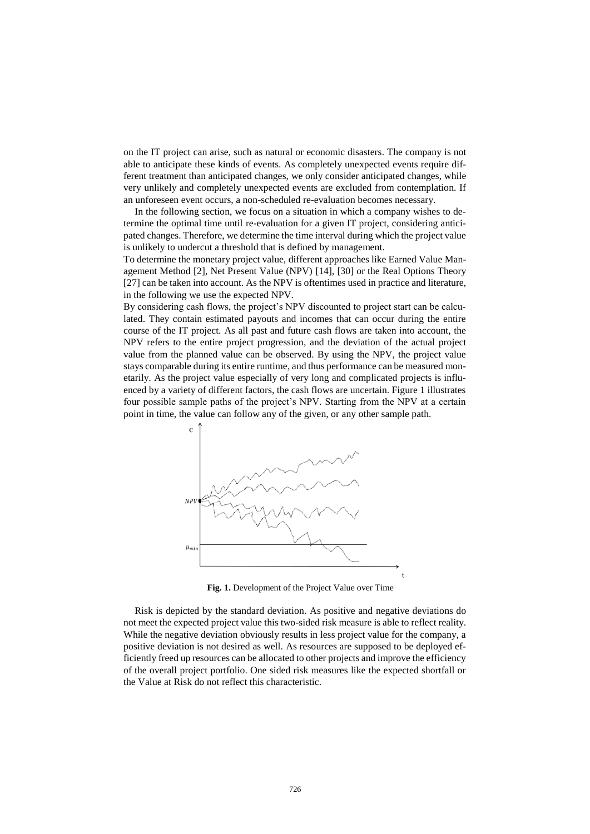on the IT project can arise, such as natural or economic disasters. The company is not able to anticipate these kinds of events. As completely unexpected events require different treatment than anticipated changes, we only consider anticipated changes, while very unlikely and completely unexpected events are excluded from contemplation. If an unforeseen event occurs, a non-scheduled re-evaluation becomes necessary.

In the following section, we focus on a situation in which a company wishes to determine the optimal time until re-evaluation for a given IT project, considering anticipated changes. Therefore, we determine the time interval during which the project value is unlikely to undercut a threshold that is defined by management.

To determine the monetary project value, different approaches like Earned Value Management Method [2], Net Present Value (NPV) [14], [30] or the Real Options Theory [27] can be taken into account. As the NPV is oftentimes used in practice and literature, in the following we use the expected NPV.

By considering cash flows, the project's NPV discounted to project start can be calculated. They contain estimated payouts and incomes that can occur during the entire course of the IT project. As all past and future cash flows are taken into account, the NPV refers to the entire project progression, and the deviation of the actual project value from the planned value can be observed. By using the NPV, the project value stays comparable during its entire runtime, and thus performance can be measured monetarily. As the project value especially of very long and complicated projects is influenced by a variety of different factors, the cash flows are uncertain. Figure 1 illustrates four possible sample paths of the project's NPV. Starting from the NPV at a certain point in time, the value can follow any of the given, or any other sample path.



**Fig. 1.** Development of the Project Value over Time

Risk is depicted by the standard deviation. As positive and negative deviations do not meet the expected project value this two-sided risk measure is able to reflect reality. While the negative deviation obviously results in less project value for the company, a positive deviation is not desired as well. As resources are supposed to be deployed efficiently freed up resources can be allocated to other projects and improve the efficiency of the overall project portfolio. One sided risk measures like the expected shortfall or the Value at Risk do not reflect this characteristic.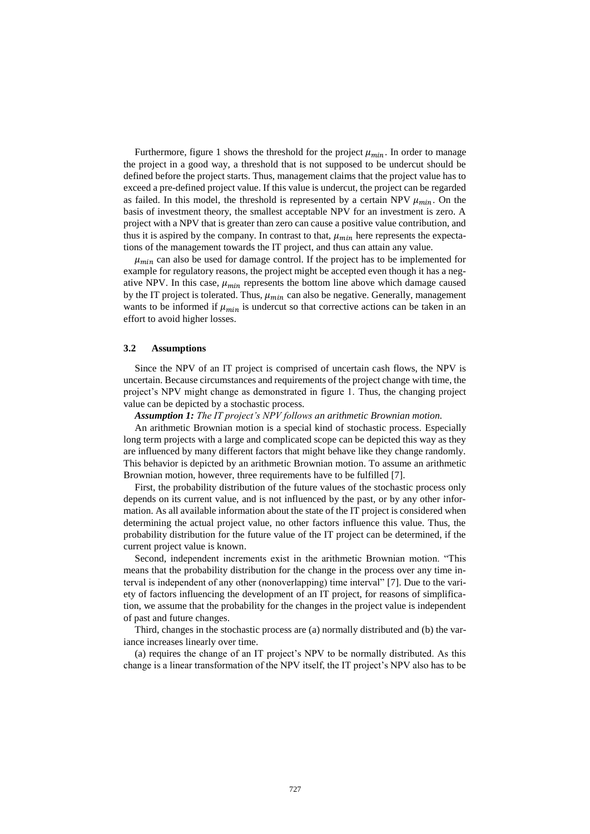Furthermore, figure 1 shows the threshold for the project  $\mu_{min}$ . In order to manage the project in a good way, a threshold that is not supposed to be undercut should be defined before the project starts. Thus, management claims that the project value has to exceed a pre-defined project value. If this value is undercut, the project can be regarded as failed. In this model, the threshold is represented by a certain NPV  $\mu_{min}$ . On the basis of investment theory, the smallest acceptable NPV for an investment is zero. A project with a NPV that is greater than zero can cause a positive value contribution, and thus it is aspired by the company. In contrast to that,  $\mu_{min}$  here represents the expectations of the management towards the IT project, and thus can attain any value.

 $\mu_{min}$  can also be used for damage control. If the project has to be implemented for example for regulatory reasons, the project might be accepted even though it has a negative NPV. In this case,  $\mu_{min}$  represents the bottom line above which damage caused by the IT project is tolerated. Thus,  $\mu_{min}$  can also be negative. Generally, management wants to be informed if  $\mu_{min}$  is undercut so that corrective actions can be taken in an effort to avoid higher losses.

#### **3.2 Assumptions**

Since the NPV of an IT project is comprised of uncertain cash flows, the NPV is uncertain. Because circumstances and requirements of the project change with time, the project's NPV might change as demonstrated in figure 1. Thus, the changing project value can be depicted by a stochastic process.

*Assumption 1: The IT project's NPV follows an arithmetic Brownian motion.*

An arithmetic Brownian motion is a special kind of stochastic process. Especially long term projects with a large and complicated scope can be depicted this way as they are influenced by many different factors that might behave like they change randomly. This behavior is depicted by an arithmetic Brownian motion. To assume an arithmetic Brownian motion, however, three requirements have to be fulfilled [7].

First, the probability distribution of the future values of the stochastic process only depends on its current value, and is not influenced by the past, or by any other information. As all available information about the state of the IT project is considered when determining the actual project value, no other factors influence this value. Thus, the probability distribution for the future value of the IT project can be determined, if the current project value is known.

Second, independent increments exist in the arithmetic Brownian motion. "This means that the probability distribution for the change in the process over any time interval is independent of any other (nonoverlapping) time interval" [7]. Due to the variety of factors influencing the development of an IT project, for reasons of simplification, we assume that the probability for the changes in the project value is independent of past and future changes.

Third, changes in the stochastic process are (a) normally distributed and (b) the variance increases linearly over time.

(a) requires the change of an IT project's NPV to be normally distributed. As this change is a linear transformation of the NPV itself, the IT project's NPV also has to be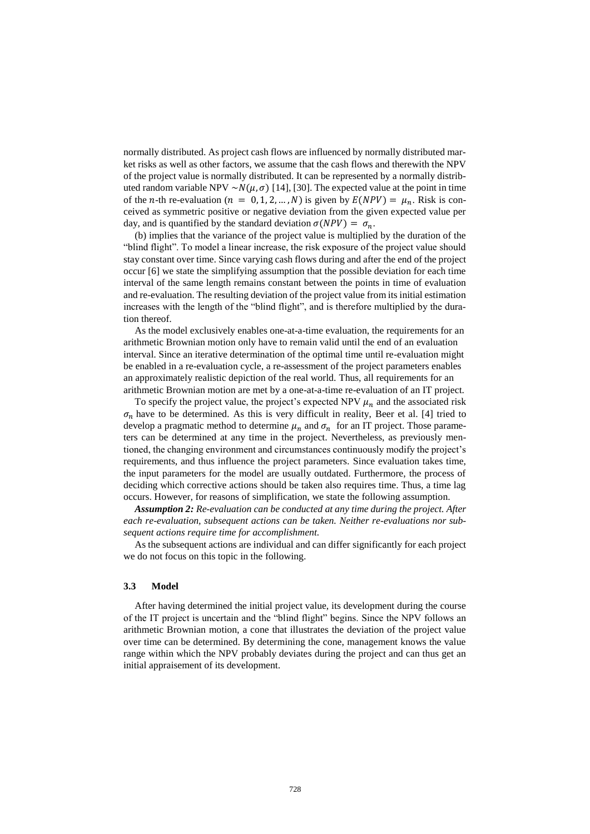normally distributed. As project cash flows are influenced by normally distributed market risks as well as other factors, we assume that the cash flows and therewith the NPV of the project value is normally distributed. It can be represented by a normally distributed random variable NPV ~ $N(\mu, \sigma)$  [14], [30]. The expected value at the point in time of the *n*-th re-evaluation ( $n = 0, 1, 2, ..., N$ ) is given by  $E(NPV) = \mu_n$ . Risk is conceived as symmetric positive or negative deviation from the given expected value per day, and is quantified by the standard deviation  $\sigma(NPV) = \sigma_n$ .

(b) implies that the variance of the project value is multiplied by the duration of the "blind flight". To model a linear increase, the risk exposure of the project value should stay constant over time. Since varying cash flows during and after the end of the project occur [6] we state the simplifying assumption that the possible deviation for each time interval of the same length remains constant between the points in time of evaluation and re-evaluation. The resulting deviation of the project value from its initial estimation increases with the length of the "blind flight", and is therefore multiplied by the duration thereof.

As the model exclusively enables one-at-a-time evaluation, the requirements for an arithmetic Brownian motion only have to remain valid until the end of an evaluation interval. Since an iterative determination of the optimal time until re-evaluation might be enabled in a re-evaluation cycle, a re-assessment of the project parameters enables an approximately realistic depiction of the real world. Thus, all requirements for an arithmetic Brownian motion are met by a one-at-a-time re-evaluation of an IT project.

To specify the project value, the project's expected NPV  $\mu_n$  and the associated risk  $\sigma_n$  have to be determined. As this is very difficult in reality, Beer et al. [4] tried to develop a pragmatic method to determine  $\mu_n$  and  $\sigma_n$  for an IT project. Those parameters can be determined at any time in the project. Nevertheless, as previously mentioned, the changing environment and circumstances continuously modify the project's requirements, and thus influence the project parameters. Since evaluation takes time, the input parameters for the model are usually outdated. Furthermore, the process of deciding which corrective actions should be taken also requires time. Thus, a time lag occurs. However, for reasons of simplification, we state the following assumption.

*Assumption 2: Re-evaluation can be conducted at any time during the project. After each re-evaluation, subsequent actions can be taken. Neither re-evaluations nor subsequent actions require time for accomplishment.*

As the subsequent actions are individual and can differ significantly for each project we do not focus on this topic in the following.

#### **3.3 Model**

After having determined the initial project value, its development during the course of the IT project is uncertain and the "blind flight" begins. Since the NPV follows an arithmetic Brownian motion, a cone that illustrates the deviation of the project value over time can be determined. By determining the cone, management knows the value range within which the NPV probably deviates during the project and can thus get an initial appraisement of its development.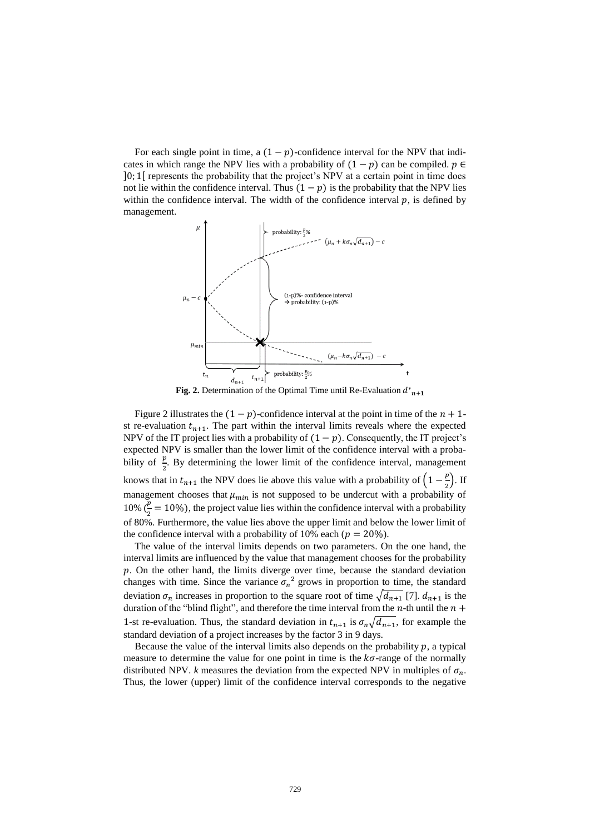For each single point in time, a  $(1 - p)$ -confidence interval for the NPV that indicates in which range the NPV lies with a probability of  $(1 - p)$  can be compiled.  $p \in$ ]0; 1[ represents the probability that the project's NPV at a certain point in time does not lie within the confidence interval. Thus  $(1 - p)$  is the probability that the NPV lies within the confidence interval. The width of the confidence interval  $p$ , is defined by management.



**Fig. 2.** Determination of the Optimal Time until Re-Evaluation  $d_{n+1}^*$ 

Figure 2 illustrates the  $(1 - p)$ -confidence interval at the point in time of the  $n + 1$ st re-evaluation  $t_{n+1}$ . The part within the interval limits reveals where the expected NPV of the IT project lies with a probability of  $(1 - p)$ . Consequently, the IT project's expected NPV is smaller than the lower limit of the confidence interval with a probability of  $\frac{p}{2}$ . By determining the lower limit of the confidence interval, management knows that in  $t_{n+1}$  the NPV does lie above this value with a probability of  $\left(1-\frac{p}{2}\right)$  $\frac{p}{2}$ ). If management chooses that  $\mu_{min}$  is not supposed to be undercut with a probability of 10%  $(\frac{p}{2} = 10\%)$ , the project value lies within the confidence interval with a probability of 80%. Furthermore, the value lies above the upper limit and below the lower limit of the confidence interval with a probability of 10% each ( $p = 20\%$ ).

The value of the interval limits depends on two parameters. On the one hand, the interval limits are influenced by the value that management chooses for the probability  $p$ . On the other hand, the limits diverge over time, because the standard deviation changes with time. Since the variance  $\sigma_n^2$  grows in proportion to time, the standard deviation  $\sigma_n$  increases in proportion to the square root of time  $\sqrt{d_{n+1}}$  [7].  $d_{n+1}$  is the duration of the "blind flight", and therefore the time interval from the  $n$ -th until the  $n +$ 1-st re-evaluation. Thus, the standard deviation in  $t_{n+1}$  is  $\sigma_n \sqrt{d_{n+1}}$ , for example the standard deviation of a project increases by the factor 3 in 9 days.

Because the value of the interval limits also depends on the probability  $p$ , a typical measure to determine the value for one point in time is the  $k\sigma$ -range of the normally distributed NPV. *k* measures the deviation from the expected NPV in multiples of  $\sigma_n$ . Thus, the lower (upper) limit of the confidence interval corresponds to the negative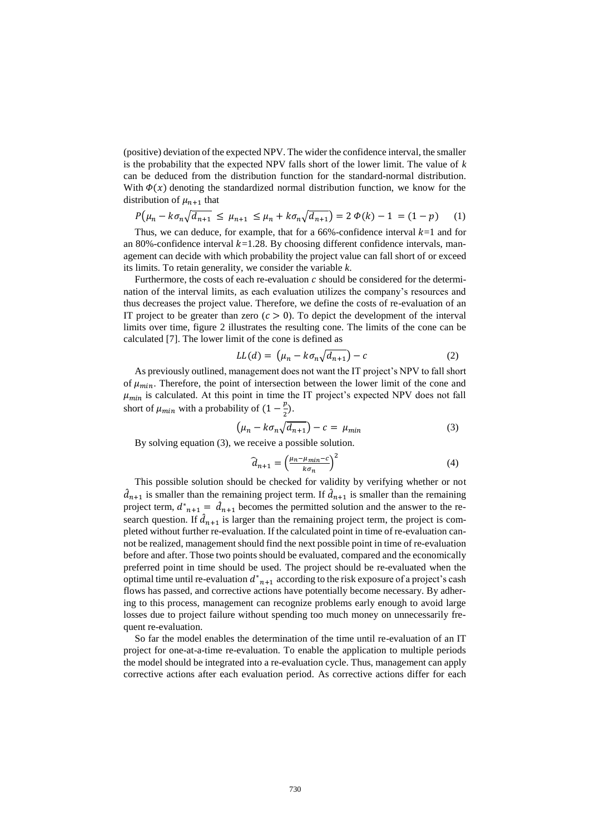(positive) deviation of the expected NPV. The wider the confidence interval, the smaller is the probability that the expected NPV falls short of the lower limit. The value of *k* can be deduced from the distribution function for the standard-normal distribution. With  $\Phi(x)$  denoting the standardized normal distribution function, we know for the distribution of  $\mu_{n+1}$  that

$$
P(\mu_n - k \sigma_n \sqrt{d_{n+1}} \le \mu_{n+1} \le \mu_n + k \sigma_n \sqrt{d_{n+1}}) = 2 \Phi(k) - 1 = (1 - p) \tag{1}
$$

Thus, we can deduce, for example, that for a 66%-confidence interval  $k=1$  and for an 80%-confidence interval  $k=1.28$ . By choosing different confidence intervals, management can decide with which probability the project value can fall short of or exceed its limits. To retain generality, we consider the variable *k*.

Furthermore, the costs of each re-evaluation  $c$  should be considered for the determination of the interval limits, as each evaluation utilizes the company's resources and thus decreases the project value. Therefore, we define the costs of re-evaluation of an IT project to be greater than zero  $(c > 0)$ . To depict the development of the interval limits over time, figure 2 illustrates the resulting cone. The limits of the cone can be calculated [7]. The lower limit of the cone is defined as

$$
LL(d) = \left(\mu_n - k \sigma_n \sqrt{d_{n+1}}\right) - c \tag{2}
$$

As previously outlined, management does not want the IT project's NPV to fall short of  $\mu_{min}$ . Therefore, the point of intersection between the lower limit of the cone and  $\mu_{min}$  is calculated. At this point in time the IT project's expected NPV does not fall short of  $\mu_{min}$  with a probability of  $(1-\frac{p}{3})$  $\frac{p}{2}$ ).

$$
\left(\mu_n - k\sigma_n \sqrt{d_{n+1}}\right) - c = \mu_{min} \tag{3}
$$

By solving equation (3), we receive a possible solution.

$$
\widehat{d}_{n+1} = \left(\frac{\mu_n - \mu_{min} - c}{k \sigma_n}\right)^2 \tag{4}
$$

This possible solution should be checked for validity by verifying whether or not  $\hat{d}_{n+1}$  is smaller than the remaining project term. If  $\hat{d}_{n+1}$  is smaller than the remaining project term,  $d_{n+1}^* = d_{n+1}$  becomes the permitted solution and the answer to the research question. If  $\hat{d}_{n+1}$  is larger than the remaining project term, the project is completed without further re-evaluation. If the calculated point in time of re-evaluation cannot be realized, management should find the next possible point in time of re-evaluation before and after. Those two points should be evaluated, compared and the economically preferred point in time should be used. The project should be re-evaluated when the optimal time until re-evaluation  $d_{n+1}^*$  according to the risk exposure of a project's cash flows has passed, and corrective actions have potentially become necessary. By adhering to this process, management can recognize problems early enough to avoid large losses due to project failure without spending too much money on unnecessarily frequent re-evaluation.

So far the model enables the determination of the time until re-evaluation of an IT project for one-at-a-time re-evaluation. To enable the application to multiple periods the model should be integrated into a re-evaluation cycle. Thus, management can apply corrective actions after each evaluation period. As corrective actions differ for each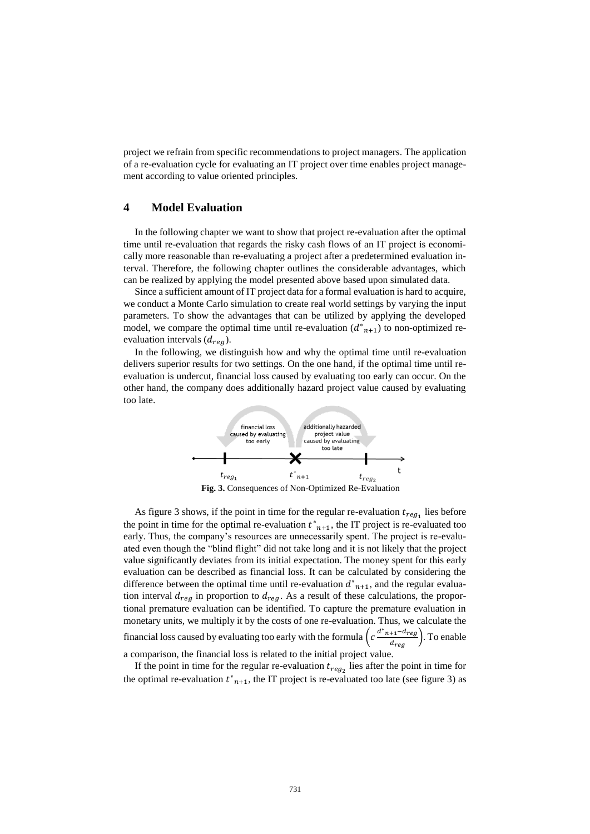project we refrain from specific recommendations to project managers. The application of a re-evaluation cycle for evaluating an IT project over time enables project management according to value oriented principles.

# **4 Model Evaluation**

In the following chapter we want to show that project re-evaluation after the optimal time until re-evaluation that regards the risky cash flows of an IT project is economically more reasonable than re-evaluating a project after a predetermined evaluation interval. Therefore, the following chapter outlines the considerable advantages, which can be realized by applying the model presented above based upon simulated data.

Since a sufficient amount of IT project data for a formal evaluation is hard to acquire, we conduct a Monte Carlo simulation to create real world settings by varying the input parameters. To show the advantages that can be utilized by applying the developed model, we compare the optimal time until re-evaluation  $(d_{n+1})$  to non-optimized reevaluation intervals  $(d_{reg})$ .

In the following, we distinguish how and why the optimal time until re-evaluation delivers superior results for two settings. On the one hand, if the optimal time until reevaluation is undercut, financial loss caused by evaluating too early can occur. On the other hand, the company does additionally hazard project value caused by evaluating too late.



**Fig. 3.** Consequences of Non-Optimized Re-Evaluation

As figure 3 shows, if the point in time for the regular re-evaluation  $t_{reg_1}$  lies before the point in time for the optimal re-evaluation  $t_{n+1}$ , the IT project is re-evaluated too early. Thus, the company's resources are unnecessarily spent. The project is re-evaluated even though the "blind flight" did not take long and it is not likely that the project value significantly deviates from its initial expectation. The money spent for this early evaluation can be described as financial loss. It can be calculated by considering the difference between the optimal time until re-evaluation  $d_{n+1}^*$ , and the regular evaluation interval  $d_{req}$  in proportion to  $d_{req}$ . As a result of these calculations, the proportional premature evaluation can be identified. To capture the premature evaluation in monetary units, we multiply it by the costs of one re-evaluation. Thus, we calculate the financial loss caused by evaluating too early with the formula  $\left(c \frac{d^* n + 1 - d_{reg}}{d_{reg}}\right)$ . To enable a comparison, the financial loss is related to the initial project value.

If the point in time for the regular re-evaluation  $t_{reg_2}$  lies after the point in time for the optimal re-evaluation  $t_{n+1}^*$ , the IT project is re-evaluated too late (see figure 3) as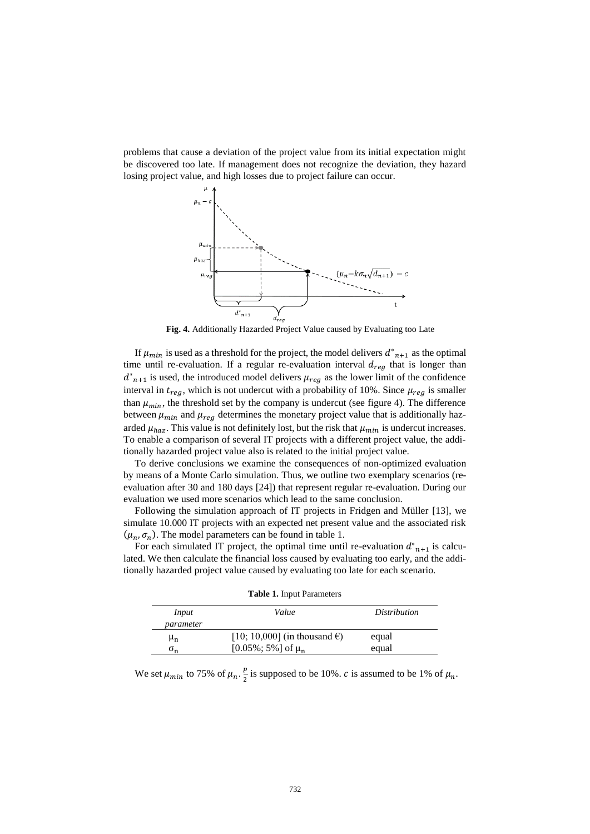problems that cause a deviation of the project value from its initial expectation might be discovered too late. If management does not recognize the deviation, they hazard losing project value, and high losses due to project failure can occur.



**Fig. 4.** Additionally Hazarded Project Value caused by Evaluating too Late

If  $\mu_{min}$  is used as a threshold for the project, the model delivers  $d_{n+1}^*$  as the optimal time until re-evaluation. If a regular re-evaluation interval  $d_{reg}$  that is longer than  $d_{n+1}^*$  is used, the introduced model delivers  $\mu_{reg}$  as the lower limit of the confidence interval in  $t_{req}$ , which is not undercut with a probability of 10%. Since  $\mu_{req}$  is smaller than  $\mu_{min}$ , the threshold set by the company is undercut (see figure 4). The difference between  $\mu_{min}$  and  $\mu_{reg}$  determines the monetary project value that is additionally hazarded  $\mu_{haz}$ . This value is not definitely lost, but the risk that  $\mu_{min}$  is undercut increases. To enable a comparison of several IT projects with a different project value, the additionally hazarded project value also is related to the initial project value.

To derive conclusions we examine the consequences of non-optimized evaluation by means of a Monte Carlo simulation. Thus, we outline two exemplary scenarios (reevaluation after 30 and 180 days [24]) that represent regular re-evaluation. During our evaluation we used more scenarios which lead to the same conclusion.

Following the simulation approach of IT projects in Fridgen and Müller [13], we simulate 10.000 IT projects with an expected net present value and the associated risk  $(\mu_n, \sigma_n)$ . The model parameters can be found in table 1.

For each simulated IT project, the optimal time until re-evaluation  $d_{n+1}^*$  is calculated. We then calculate the financial loss caused by evaluating too early, and the additionally hazarded project value caused by evaluating too late for each scenario.

| Input          | Value                                  | Distribution |
|----------------|----------------------------------------|--------------|
| parameter      |                                        |              |
| $\mu_{n}$      | [10; 10,000] (in thousand $\epsilon$ ) | equal        |
| 0 <sub>n</sub> | [0.05%; 5%] of $\mu_n$                 | equal        |

**Table 1.** Input Parameters

We set  $\mu_{min}$  to 75% of  $\mu_n$ .  $\frac{p}{2}$  $\frac{p}{2}$  is supposed to be 10%. *c* is assumed to be 1% of  $\mu_n$ .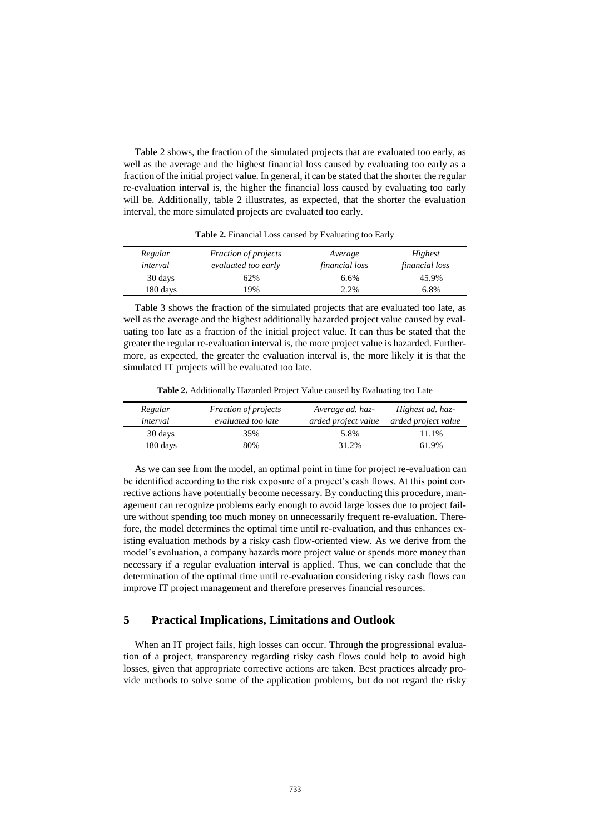Table 2 shows, the fraction of the simulated projects that are evaluated too early, as well as the average and the highest financial loss caused by evaluating too early as a fraction of the initial project value. In general, it can be stated that the shorter the regular re-evaluation interval is, the higher the financial loss caused by evaluating too early will be. Additionally, table 2 illustrates, as expected, that the shorter the evaluation interval, the more simulated projects are evaluated too early.

| Regular  | <i>Fraction of projects</i> | Average               | Highest               |
|----------|-----------------------------|-----------------------|-----------------------|
| interval | evaluated too early         | <i>financial loss</i> | <i>financial loss</i> |
| 30 days  | 62%                         | 6.6%                  | 45.9%                 |
| 180 days | 19%                         | 2.2%                  | 6.8%                  |

**Table 2.** Financial Loss caused by Evaluating too Early

Table 3 shows the fraction of the simulated projects that are evaluated too late, as well as the average and the highest additionally hazarded project value caused by evaluating too late as a fraction of the initial project value. It can thus be stated that the greater the regular re-evaluation interval is, the more project value is hazarded. Furthermore, as expected, the greater the evaluation interval is, the more likely it is that the simulated IT projects will be evaluated too late.

**Table 2.** Additionally Hazarded Project Value caused by Evaluating too Late

| Regular<br>interval | <i>Fraction of projects</i><br>evaluated too late | Average ad. haz-<br>arded project value | Highest ad. haz-<br>arded project value |
|---------------------|---------------------------------------------------|-----------------------------------------|-----------------------------------------|
|                     |                                                   |                                         |                                         |
| 30 days             | 35%                                               | 5.8%                                    | 11.1%                                   |
| 180 days            | 80%                                               | 31.2%                                   | 61.9%                                   |

As we can see from the model, an optimal point in time for project re-evaluation can be identified according to the risk exposure of a project's cash flows. At this point corrective actions have potentially become necessary. By conducting this procedure, management can recognize problems early enough to avoid large losses due to project failure without spending too much money on unnecessarily frequent re-evaluation. Therefore, the model determines the optimal time until re-evaluation, and thus enhances existing evaluation methods by a risky cash flow-oriented view. As we derive from the model's evaluation, a company hazards more project value or spends more money than necessary if a regular evaluation interval is applied. Thus, we can conclude that the determination of the optimal time until re-evaluation considering risky cash flows can improve IT project management and therefore preserves financial resources.

# **5 Practical Implications, Limitations and Outlook**

When an IT project fails, high losses can occur. Through the progressional evaluation of a project, transparency regarding risky cash flows could help to avoid high losses, given that appropriate corrective actions are taken. Best practices already provide methods to solve some of the application problems, but do not regard the risky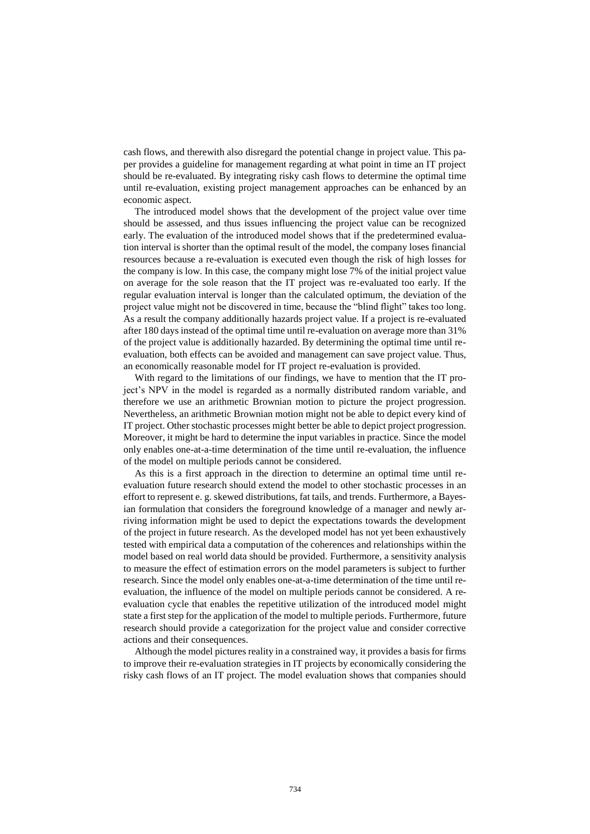cash flows, and therewith also disregard the potential change in project value. This paper provides a guideline for management regarding at what point in time an IT project should be re-evaluated. By integrating risky cash flows to determine the optimal time until re-evaluation, existing project management approaches can be enhanced by an economic aspect.

The introduced model shows that the development of the project value over time should be assessed, and thus issues influencing the project value can be recognized early. The evaluation of the introduced model shows that if the predetermined evaluation interval is shorter than the optimal result of the model, the company loses financial resources because a re-evaluation is executed even though the risk of high losses for the company is low. In this case, the company might lose 7% of the initial project value on average for the sole reason that the IT project was re-evaluated too early. If the regular evaluation interval is longer than the calculated optimum, the deviation of the project value might not be discovered in time, because the "blind flight" takes too long. As a result the company additionally hazards project value. If a project is re-evaluated after 180 days instead of the optimal time until re-evaluation on average more than 31% of the project value is additionally hazarded. By determining the optimal time until reevaluation, both effects can be avoided and management can save project value. Thus, an economically reasonable model for IT project re-evaluation is provided.

With regard to the limitations of our findings, we have to mention that the IT project's NPV in the model is regarded as a normally distributed random variable, and therefore we use an arithmetic Brownian motion to picture the project progression. Nevertheless, an arithmetic Brownian motion might not be able to depict every kind of IT project. Other stochastic processes might better be able to depict project progression. Moreover, it might be hard to determine the input variables in practice. Since the model only enables one-at-a-time determination of the time until re-evaluation, the influence of the model on multiple periods cannot be considered.

As this is a first approach in the direction to determine an optimal time until reevaluation future research should extend the model to other stochastic processes in an effort to represent e. g. skewed distributions, fat tails, and trends. Furthermore, a Bayesian formulation that considers the foreground knowledge of a manager and newly arriving information might be used to depict the expectations towards the development of the project in future research. As the developed model has not yet been exhaustively tested with empirical data a computation of the coherences and relationships within the model based on real world data should be provided. Furthermore, a sensitivity analysis to measure the effect of estimation errors on the model parameters is subject to further research. Since the model only enables one-at-a-time determination of the time until reevaluation, the influence of the model on multiple periods cannot be considered. A reevaluation cycle that enables the repetitive utilization of the introduced model might state a first step for the application of the model to multiple periods. Furthermore, future research should provide a categorization for the project value and consider corrective actions and their consequences.

Although the model pictures reality in a constrained way, it provides a basis for firms to improve their re-evaluation strategies in IT projects by economically considering the risky cash flows of an IT project. The model evaluation shows that companies should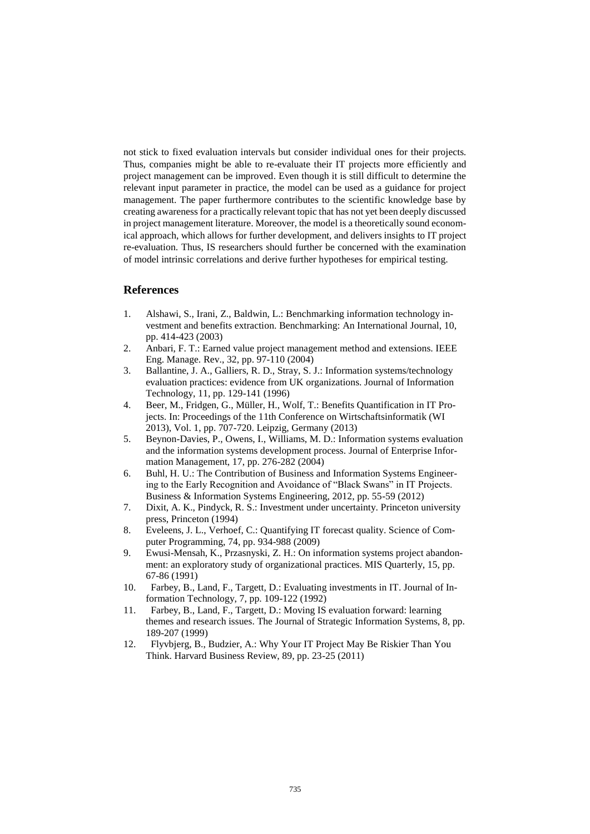not stick to fixed evaluation intervals but consider individual ones for their projects. Thus, companies might be able to re-evaluate their IT projects more efficiently and project management can be improved. Even though it is still difficult to determine the relevant input parameter in practice, the model can be used as a guidance for project management. The paper furthermore contributes to the scientific knowledge base by creating awareness for a practically relevant topic that has not yet been deeply discussed in project management literature. Moreover, the model is a theoretically sound economical approach, which allows for further development, and delivers insights to IT project re-evaluation. Thus, IS researchers should further be concerned with the examination of model intrinsic correlations and derive further hypotheses for empirical testing.

# **References**

- 1. Alshawi, S., Irani, Z., Baldwin, L.: Benchmarking information technology investment and benefits extraction. Benchmarking: An International Journal, 10, pp. 414-423 (2003)
- 2. Anbari, F. T.: Earned value project management method and extensions. IEEE Eng. Manage. Rev., 32, pp. 97-110 (2004)
- 3. Ballantine, J. A., Galliers, R. D., Stray, S. J.: Information systems/technology evaluation practices: evidence from UK organizations. Journal of Information Technology, 11, pp. 129-141 (1996)
- 4. Beer, M., Fridgen, G., Müller, H., Wolf, T.: Benefits Quantification in IT Projects. In: Proceedings of the 11th Conference on Wirtschaftsinformatik (WI 2013), Vol. 1, pp. 707-720. Leipzig, Germany (2013)
- 5. Beynon-Davies, P., Owens, I., Williams, M. D.: Information systems evaluation and the information systems development process. Journal of Enterprise Information Management, 17, pp. 276-282 (2004)
- 6. Buhl, H. U.: The Contribution of Business and Information Systems Engineering to the Early Recognition and Avoidance of "Black Swans" in IT Projects. Business & Information Systems Engineering, 2012, pp. 55-59 (2012)
- 7. Dixit, A. K., Pindyck, R. S.: Investment under uncertainty. Princeton university press, Princeton (1994)
- 8. Eveleens, J. L., Verhoef, C.: Quantifying IT forecast quality. Science of Computer Programming, 74, pp. 934-988 (2009)
- 9. Ewusi-Mensah, K., Przasnyski, Z. H.: On information systems project abandonment: an exploratory study of organizational practices. MIS Quarterly, 15, pp. 67-86 (1991)
- 10. Farbey, B., Land, F., Targett, D.: Evaluating investments in IT. Journal of Information Technology, 7, pp. 109-122 (1992)
- 11. Farbey, B., Land, F., Targett, D.: Moving IS evaluation forward: learning themes and research issues. The Journal of Strategic Information Systems, 8, pp. 189-207 (1999)
- 12. Flyvbjerg, B., Budzier, A.: Why Your IT Project May Be Riskier Than You Think. Harvard Business Review, 89, pp. 23-25 (2011)